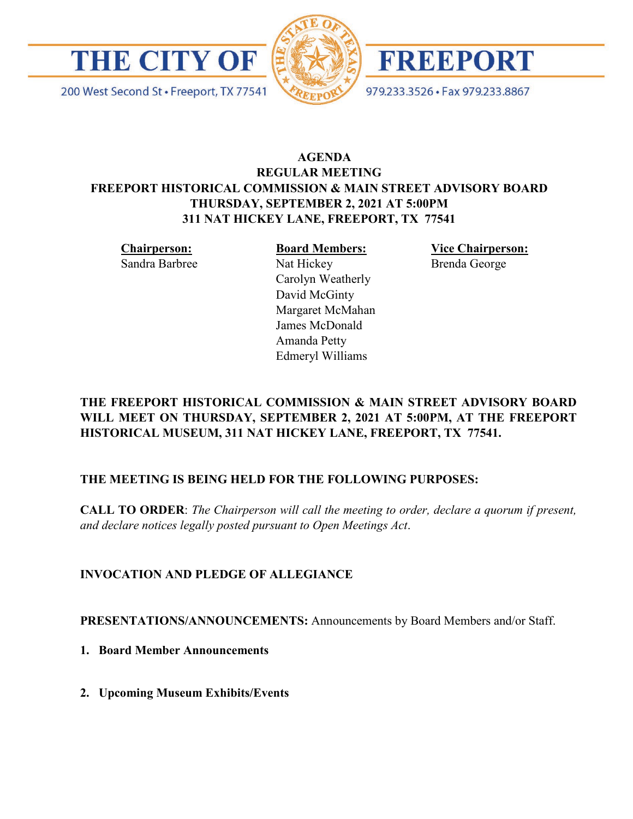

200 West Second St · Freeport, TX 77541





979.233.3526 · Fax 979.233.8867

# **AGENDA REGULAR MEETING FREEPORT HISTORICAL COMMISSION & MAIN STREET ADVISORY BOARD THURSDAY, SEPTEMBER 2, 2021 AT 5:00PM 311 NAT HICKEY LANE, FREEPORT, TX 77541**

**Chairperson:** Sandra Barbree **Board Members:** Nat Hickey Carolyn Weatherly David McGinty Margaret McMahan James McDonald Amanda Petty Edmeryl Williams

**Vice Chairperson:** Brenda George

# **THE FREEPORT HISTORICAL COMMISSION & MAIN STREET ADVISORY BOARD WILL MEET ON THURSDAY, SEPTEMBER 2, 2021 AT 5:00PM, AT THE FREEPORT HISTORICAL MUSEUM, 311 NAT HICKEY LANE, FREEPORT, TX 77541.**

## **THE MEETING IS BEING HELD FOR THE FOLLOWING PURPOSES:**

**CALL TO ORDER**: *The Chairperson will call the meeting to order, declare a quorum if present, and declare notices legally posted pursuant to Open Meetings Act*.

# **INVOCATION AND PLEDGE OF ALLEGIANCE**

**PRESENTATIONS/ANNOUNCEMENTS:** Announcements by Board Members and/or Staff.

- **1. Board Member Announcements**
- **2. Upcoming Museum Exhibits/Events**